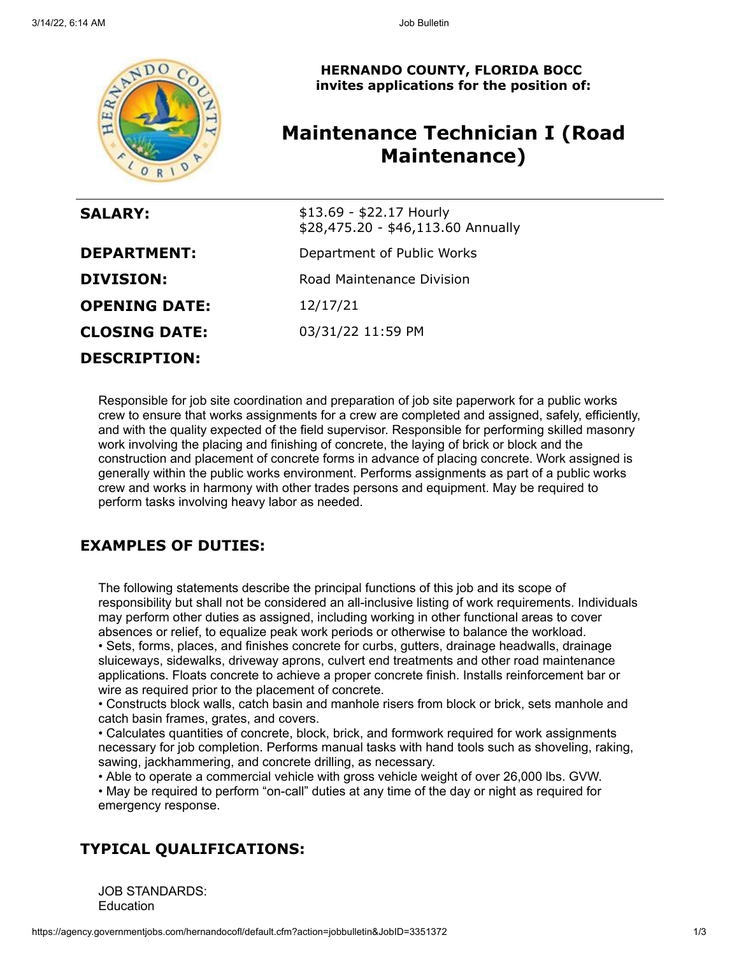

**HERNANDO COUNTY, FLORIDA BOCC invites applications for the position of:**

# **Maintenance Technician I (Road Maintenance)**

| <b>SALARY:</b>       | \$13.69 - \$22.17 Hourly<br>\$28,475.20 - \$46,113.60 Annually |
|----------------------|----------------------------------------------------------------|
| <b>DEPARTMENT:</b>   | Department of Public Works                                     |
| <b>DIVISION:</b>     | Road Maintenance Division                                      |
| <b>OPENING DATE:</b> | 12/17/21                                                       |
| <b>CLOSING DATE:</b> | 03/31/22 11:59 PM                                              |
| <b>DESCRIPTION:</b>  |                                                                |

Responsible for job site coordination and preparation of job site paperwork for a public works crew to ensure that works assignments for a crew are completed and assigned, safely, efficiently, and with the quality expected of the field supervisor. Responsible for performing skilled masonry work involving the placing and finishing of concrete, the laying of brick or block and the construction and placement of concrete forms in advance of placing concrete. Work assigned is generally within the public works environment. Performs assignments as part of a public works crew and works in harmony with other trades persons and equipment. May be required to perform tasks involving heavy labor as needed.

## **EXAMPLES OF DUTIES:**

The following statements describe the principal functions of this job and its scope of responsibility but shall not be considered an all-inclusive listing of work requirements. Individuals may perform other duties as assigned, including working in other functional areas to cover absences or relief, to equalize peak work periods or otherwise to balance the workload. • Sets, forms, places, and finishes concrete for curbs, gutters, drainage headwalls, drainage

sluiceways, sidewalks, driveway aprons, culvert end treatments and other road maintenance applications. Floats concrete to achieve a proper concrete finish. Installs reinforcement bar or wire as required prior to the placement of concrete.

• Constructs block walls, catch basin and manhole risers from block or brick, sets manhole and catch basin frames, grates, and covers.

• Calculates quantities of concrete, block, brick, and formwork required for work assignments necessary for job completion. Performs manual tasks with hand tools such as shoveling, raking, sawing, jackhammering, and concrete drilling, as necessary.

• Able to operate a commercial vehicle with gross vehicle weight of over 26,000 lbs. GVW.

• May be required to perform "on-call" duties at any time of the day or night as required for emergency response.

## **TYPICAL QUALIFICATIONS:**

JOB STANDARDS: **Education**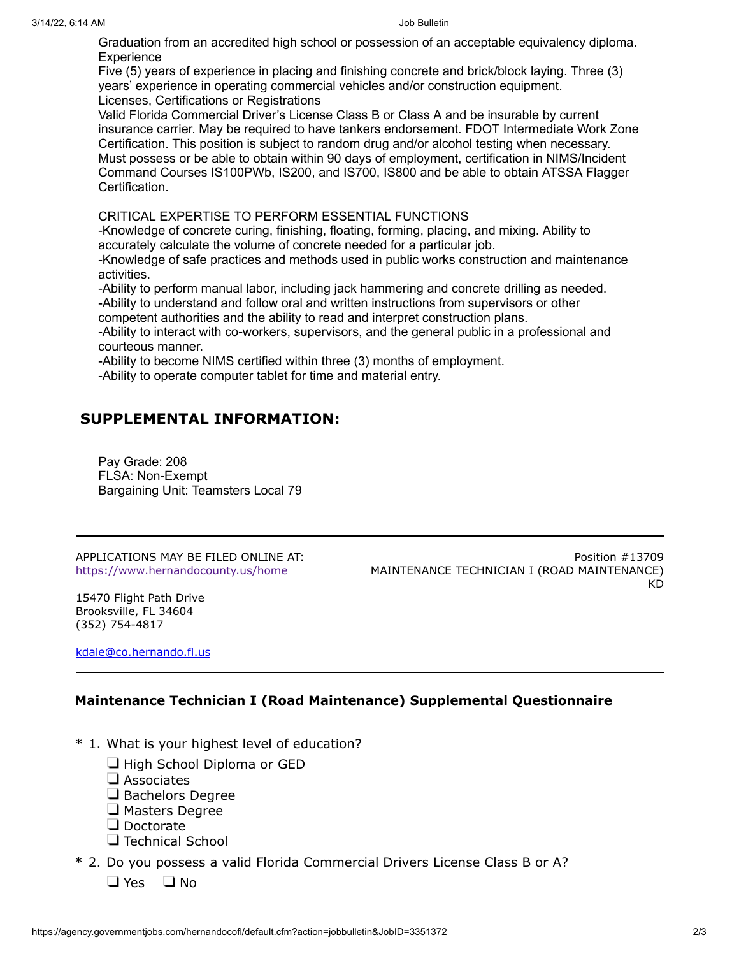Graduation from an accredited high school or possession of an acceptable equivalency diploma. Experience

Five (5) years of experience in placing and finishing concrete and brick/block laying. Three (3) years' experience in operating commercial vehicles and/or construction equipment. Licenses, Certifications or Registrations

Valid Florida Commercial Driver's License Class B or Class A and be insurable by current insurance carrier. May be required to have tankers endorsement. FDOT Intermediate Work Zone Certification. This position is subject to random drug and/or alcohol testing when necessary. Must possess or be able to obtain within 90 days of employment, certification in NIMS/Incident Command Courses IS100PWb, IS200, and IS700, IS800 and be able to obtain ATSSA Flagger Certification.

CRITICAL EXPERTISE TO PERFORM ESSENTIAL FUNCTIONS

-Knowledge of concrete curing, finishing, floating, forming, placing, and mixing. Ability to accurately calculate the volume of concrete needed for a particular job.

-Knowledge of safe practices and methods used in public works construction and maintenance activities.

-Ability to perform manual labor, including jack hammering and concrete drilling as needed. -Ability to understand and follow oral and written instructions from supervisors or other

competent authorities and the ability to read and interpret construction plans.

-Ability to interact with co-workers, supervisors, and the general public in a professional and courteous manner.

-Ability to become NIMS certified within three (3) months of employment.

-Ability to operate computer tablet for time and material entry.

### **SUPPLEMENTAL INFORMATION:**

Pay Grade: 208 FLSA: Non-Exempt Bargaining Unit: Teamsters Local 79

APPLICATIONS MAY BE FILED ONLINE AT: <https://www.hernandocounty.us/home>

Position #13709 MAINTENANCE TECHNICIAN I (ROAD MAINTENANCE) KD

15470 Flight Path Drive Brooksville, FL 34604 (352) 754-4817

[kdale@co.hernando.fl.us](mailto:kdale@co.hernando.fl.us)

### **Maintenance Technician I (Road Maintenance) Supplemental Questionnaire**

- \* 1. What is your highest level of education?
	- $\Box$  High School Diploma or GED
	- $\square$  Associates
	- $\Box$  Bachelors Degree
	- **J** Masters Degree
	- Doctorate
	- $\Box$  Technical School
- \* 2. Do you possess a valid Florida Commercial Drivers License Class B or A?
	- $\Box$  Yes  $\Box$  No